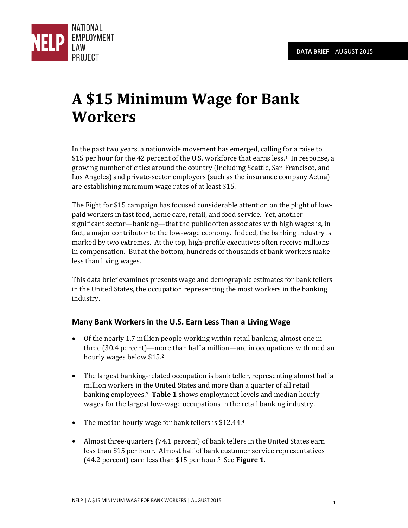

# **A \$15 Minimum Wage for Bank Workers**

In the past two years, a nationwide movement has emerged, calling for a raise to \$15 per hour for the 42 percent of the U.S. workforce that earns less.<sup>1</sup> In response, a growing number of cities around the country (including Seattle, San Francisco, and Los Angeles) and private-sector employers (such as the insurance company Aetna) are establishing minimum wage rates of at least \$15.

The Fight for \$15 campaign has focused considerable attention on the plight of lowpaid workers in fast food, home care, retail, and food service. Yet, another significant sector—banking—that the public often associates with high wages is, in fact, a major contributor to the low-wage economy. Indeed, the banking industry is marked by two extremes. At the top, high-profile executives often receive millions in compensation. But at the bottom, hundreds of thousands of bank workers make less than living wages.

This data brief examines presents wage and demographic estimates for bank tellers in the United States, the occupation representing the most workers in the banking industry.

# **Many Bank Workers in the U.S. Earn Less Than a Living Wage**

- Of the nearly 1.7 million people working within retail banking, almost one in three (30.4 percent)—more than half a million—are in occupations with median hourly wages below \$15.<sup>2</sup>
- The largest banking-related occupation is bank teller, representing almost half a million workers in the United States and more than a quarter of all retail banking employees.3 **Table 1** shows employment levels and median hourly wages for the largest low-wage occupations in the retail banking industry.
- The median hourly wage for bank tellers is \$12.44.4
- Almost three-quarters (74.1 percent) of bank tellers in the United States earn less than \$15 per hour. Almost half of bank customer service representatives (44.2 percent) earn less than \$15 per hour.<sup>5</sup>See **Figure 1**.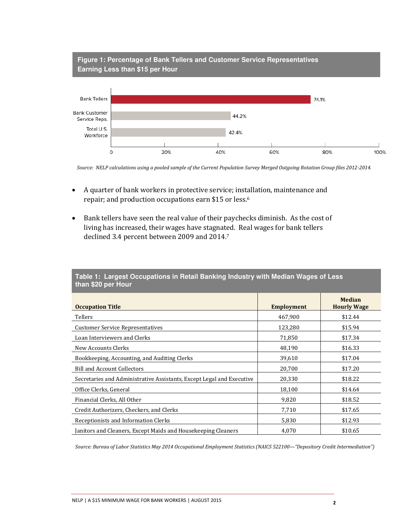

*Source: NELP calculations using a pooled sample of the Current Population Survey Merged Outgoing Rotation Group files 2012-2014.*

- A quarter of bank workers in protective service; installation, maintenance and repair; and production occupations earn \$15 or less.<sup>6</sup>
- Bank tellers have seen the real value of their paychecks diminish. As the cost of living has increased, their wages have stagnated. Real wages for bank tellers declined 3.4 percent between 2009 and 2014.<sup>7</sup>

| $\frac{1}{2}$                                                         |                   |                                     |
|-----------------------------------------------------------------------|-------------------|-------------------------------------|
| <b>Occupation Title</b>                                               | <b>Employment</b> | <b>Median</b><br><b>Hourly Wage</b> |
| Tellers                                                               | 467,900           | \$12.44                             |
| <b>Customer Service Representatives</b>                               | 123,280           | \$15.94                             |
| Loan Interviewers and Clerks                                          | 71,850            | \$17.34                             |
| New Accounts Clerks                                                   | 48,190            | \$16.33                             |
| Bookkeeping, Accounting, and Auditing Clerks                          | 39,610            | \$17.04                             |
| <b>Bill and Account Collectors</b>                                    | 20,700            | \$17.20                             |
| Secretaries and Administrative Assistants, Except Legal and Executive | 20,330            | \$18.22                             |
| Office Clerks, General                                                | 18,100            | \$14.64                             |
| Financial Clerks, All Other                                           | 9,820             | \$18.52                             |
| Credit Authorizers, Checkers, and Clerks                              | 7,710             | \$17.65                             |
| Receptionists and Information Clerks                                  | 5,830             | \$12.93                             |
| Janitors and Cleaners, Except Maids and Housekeeping Cleaners         | 4,070             | \$10.65                             |

**Table 1: Largest Occupations in Retail Banking Industry with Median Wages of Less than \$20 per Hour** 

*Source: Bureau of Labor Statistics May 2014 Occupational Employment Statistics (NAICS 522100—"Depository Credit Intermediation")*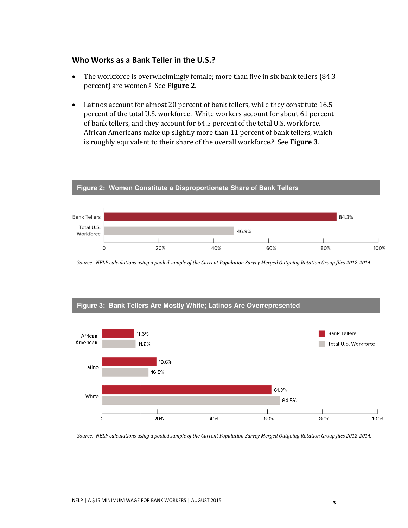#### **Who Works as a Bank Teller in the U.S.?**

- The workforce is overwhelmingly female; more than five in six bank tellers (84.3) percent) are women.8 See **Figure 2**.
- Latinos account for almost 20 percent of bank tellers, while they constitute 16.5 percent of the total U.S. workforce. White workers account for about 61 percent of bank tellers, and they account for 64.5 percent of the total U.S. workforce. African Americans make up slightly more than 11 percent of bank tellers, which is roughly equivalent to their share of the overall workforce.9 See **Figure 3**.

**Figure 2: Women Constitute a Disproportionate Share of Bank Tellers** 



## *Source: NELP calculations using a pooled sample of the Current Population Survey Merged Outgoing Rotation Group files 2012-2014.*



*Source: NELP calculations using a pooled sample of the Current Population Survey Merged Outgoing Rotation Group files 2012-2014.*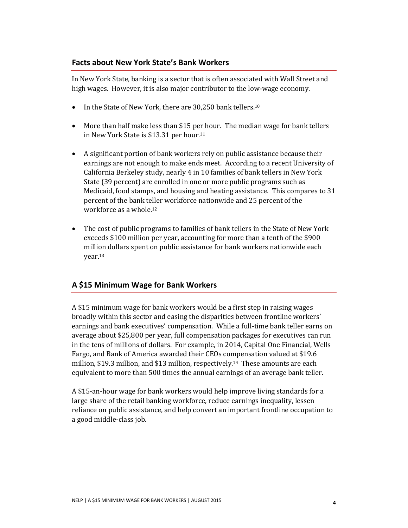#### **Facts about New York State's Bank Workers**

In New York State, banking is a sector that is often associated with Wall Street and high wages. However, it is also major contributor to the low-wage economy.

- In the State of New York, there are 30,250 bank tellers.<sup>10</sup>
- More than half make less than \$15 per hour. The median wage for bank tellers in New York State is \$13.31 per hour.<sup>11</sup>
- A significant portion of bank workers rely on public assistance because their earnings are not enough to make ends meet. According to a recent University of California Berkeley study, nearly 4 in 10 families of bank tellers in New York State (39 percent) are enrolled in one or more public programs such as Medicaid, food stamps, and housing and heating assistance. This compares to 31 percent of the bank teller workforce nationwide and 25 percent of the workforce as a whole.<sup>12</sup>
- The cost of public programs to families of bank tellers in the State of New York exceeds \$100 million per year, accounting for more than a tenth of the \$900 million dollars spent on public assistance for bank workers nationwide each year.<sup>13</sup>

### **A \$15 Minimum Wage for Bank Workers**

A \$15 minimum wage for bank workers would be a first step in raising wages broadly within this sector and easing the disparities between frontline workers' earnings and bank executives' compensation. While a full-time bank teller earns on average about \$25,800 per year, full compensation packages for executives can run in the tens of millions of dollars. For example, in 2014, Capital One Financial, Wells Fargo, and Bank of America awarded their CEOs compensation valued at \$19.6 million, \$19.3 million, and \$13 million, respectively.14 These amounts are each equivalent to more than 500 times the annual earnings of an average bank teller.

A \$15-an-hour wage for bank workers would help improve living standards for a large share of the retail banking workforce, reduce earnings inequality, lessen reliance on public assistance, and help convert an important frontline occupation to a good middle-class job.